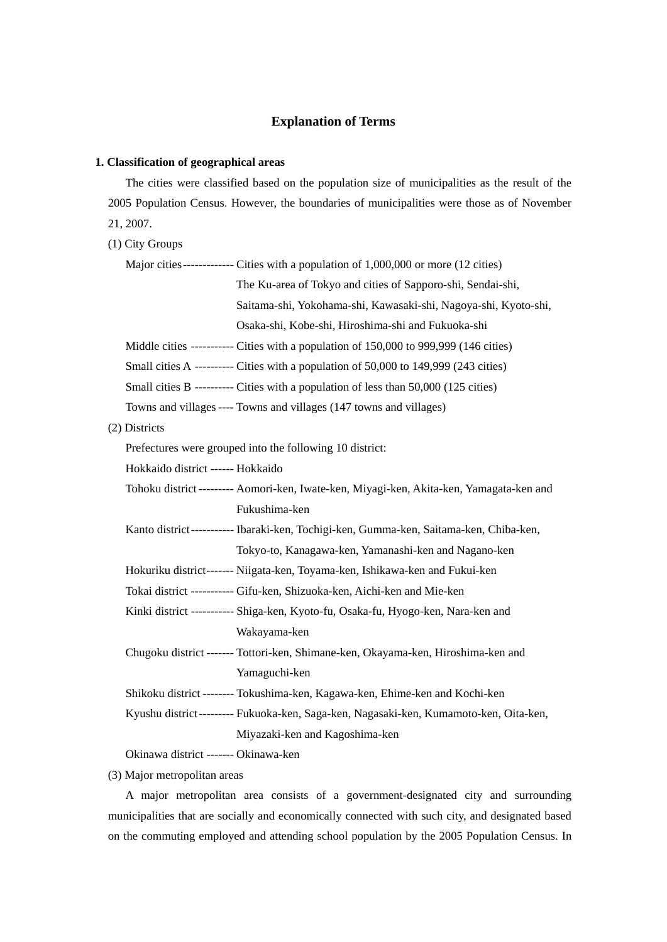# **Explanation of Terms**

#### **1. Classification of geographical areas**

The cities were classified based on the population size of municipalities as the result of the 2005 Population Census. However, the boundaries of municipalities were those as of November 21, 2007.

(1) City Groups

Major cities -------------- Cities with a population of 1,000,000 or more (12 cities)

The Ku-area of Tokyo and cities of Sapporo-shi, Sendai-shi,

Saitama-shi, Yokohama-shi, Kawasaki-shi, Nagoya-shi, Kyoto-shi,

Osaka-shi, Kobe-shi, Hiroshima-shi and Fukuoka-shi

Middle cities ----------- Cities with a population of 150,000 to 999,999 (146 cities)

Small cities A ---------- Cities with a population of 50,000 to 149,999 (243 cities)

Small cities B ---------- Cities with a population of less than 50,000 (125 cities)

Towns and villages ---- Towns and villages (147 towns and villages)

(2) Districts

Prefectures were grouped into the following 10 district:

Hokkaido district ------ Hokkaido

Tohoku district --------- Aomori-ken, Iwate-ken, Miyagi-ken, Akita-ken, Yamagata-ken and Fukushima-ken

Kanto district ----------- Ibaraki-ken, Tochigi-ken, Gumma-ken, Saitama-ken, Chiba-ken, Tokyo-to, Kanagawa-ken, Yamanashi-ken and Nagano-ken

Hokuriku district ------- Niigata-ken, Toyama-ken, Ishikawa-ken and Fukui-ken

Tokai district ----------- Gifu-ken, Shizuoka-ken, Aichi-ken and Mie-ken

Kinki district ----------- Shiga-ken, Kyoto-fu, Osaka-fu, Hyogo-ken, Nara-ken and Wakayama-ken

Chugoku district ------- Tottori-ken, Shimane-ken, Okayama-ken, Hiroshima-ken and Yamaguchi-ken

Shikoku district -------- Tokushima-ken, Kagawa-ken, Ehime-ken and Kochi-ken

Kyushu district --------- Fukuoka-ken, Saga-ken, Nagasaki-ken, Kumamoto-ken, Oita-ken, Miyazaki-ken and Kagoshima-ken

Okinawa district ------- Okinawa-ken

(3) Major metropolitan areas

A major metropolitan area consists of a government-designated city and surrounding municipalities that are socially and economically connected with such city, and designated based on the commuting employed and attending school population by the 2005 Population Census. In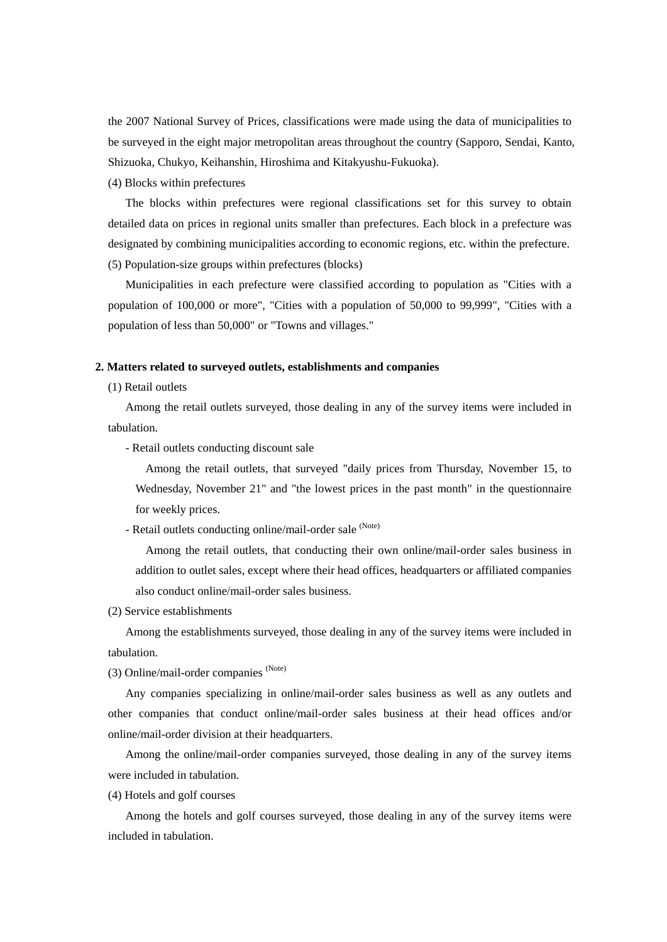the 2007 National Survey of Prices, classifications were made using the data of municipalities to be surveyed in the eight major metropolitan areas throughout the country (Sapporo, Sendai, Kanto, Shizuoka, Chukyo, Keihanshin, Hiroshima and Kitakyushu-Fukuoka).

(4) Blocks within prefectures

The blocks within prefectures were regional classifications set for this survey to obtain detailed data on prices in regional units smaller than prefectures. Each block in a prefecture was designated by combining municipalities according to economic regions, etc. within the prefecture. (5) Population-size groups within prefectures (blocks)

Municipalities in each prefecture were classified according to population as "Cities with a population of 100,000 or more", "Cities with a population of 50,000 to 99,999", "Cities with a population of less than 50,000" or "Towns and villages."

#### **2. Matters related to surveyed outlets, establishments and companies**

(1) Retail outlets

Among the retail outlets surveyed, those dealing in any of the survey items were included in tabulation.

- Retail outlets conducting discount sale

Among the retail outlets, that surveyed "daily prices from Thursday, November 15, to Wednesday, November 21" and "the lowest prices in the past month" in the questionnaire for weekly prices.

- Retail outlets conducting online/mail-order sale (Note)

Among the retail outlets, that conducting their own online/mail-order sales business in addition to outlet sales, except where their head offices, headquarters or affiliated companies also conduct online/mail-order sales business.

(2) Service establishments

Among the establishments surveyed, those dealing in any of the survey items were included in tabulation.

(3) Online/mail-order companies (Note)

Any companies specializing in online/mail-order sales business as well as any outlets and other companies that conduct online/mail-order sales business at their head offices and/or online/mail-order division at their headquarters.

Among the online/mail-order companies surveyed, those dealing in any of the survey items were included in tabulation.

(4) Hotels and golf courses

Among the hotels and golf courses surveyed, those dealing in any of the survey items were included in tabulation.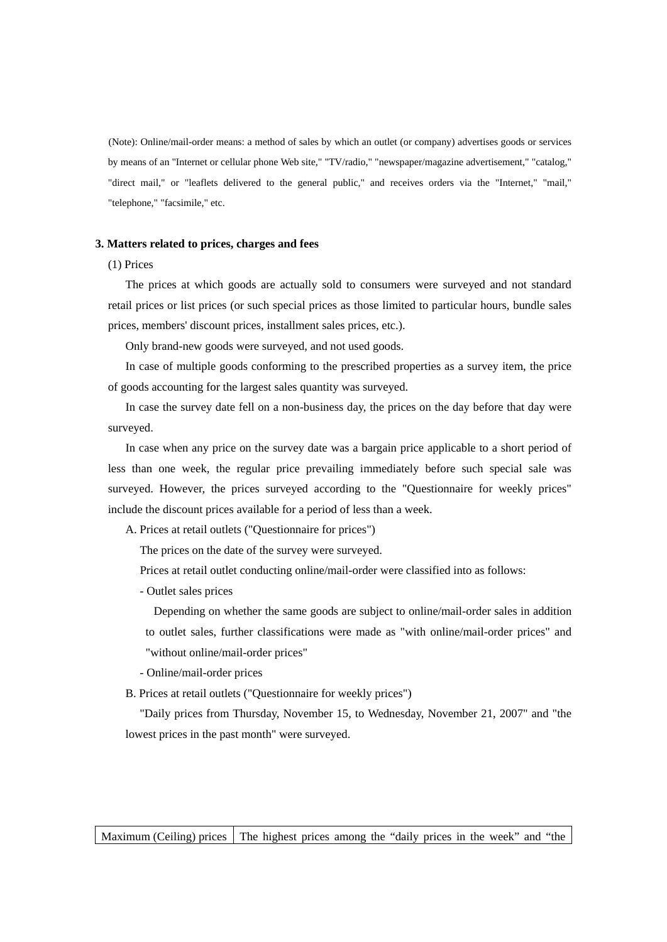(Note): Online/mail-order means: a method of sales by which an outlet (or company) advertises goods or services by means of an "Internet or cellular phone Web site," "TV/radio," "newspaper/magazine advertisement," "catalog," "direct mail," or "leaflets delivered to the general public," and receives orders via the "Internet," "mail," "telephone," "facsimile," etc.

#### **3. Matters related to prices, charges and fees**

## (1) Prices

The prices at which goods are actually sold to consumers were surveyed and not standard retail prices or list prices (or such special prices as those limited to particular hours, bundle sales prices, members' discount prices, installment sales prices, etc.).

Only brand-new goods were surveyed, and not used goods.

In case of multiple goods conforming to the prescribed properties as a survey item, the price of goods accounting for the largest sales quantity was surveyed.

In case the survey date fell on a non-business day, the prices on the day before that day were surveyed.

In case when any price on the survey date was a bargain price applicable to a short period of less than one week, the regular price prevailing immediately before such special sale was surveyed. However, the prices surveyed according to the "Questionnaire for weekly prices" include the discount prices available for a period of less than a week.

A. Prices at retail outlets ("Questionnaire for prices")

The prices on the date of the survey were surveyed.

Prices at retail outlet conducting online/mail-order were classified into as follows:

- Outlet sales prices

Depending on whether the same goods are subject to online/mail-order sales in addition to outlet sales, further classifications were made as "with online/mail-order prices" and "without online/mail-order prices"

- Online/mail-order prices

B. Prices at retail outlets ("Questionnaire for weekly prices")

"Daily prices from Thursday, November 15, to Wednesday, November 21, 2007" and "the lowest prices in the past month" were surveyed.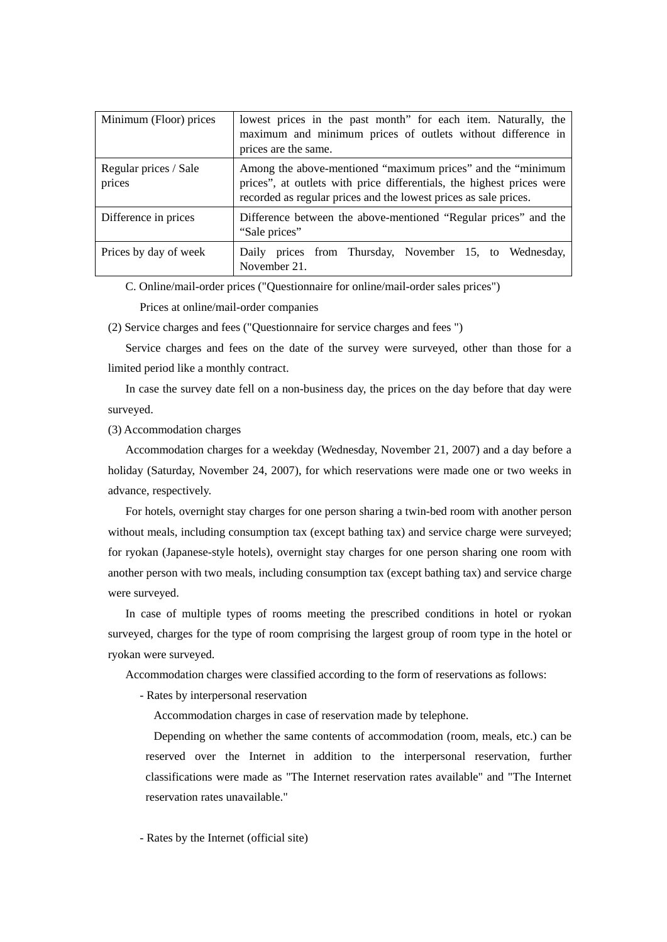| Minimum (Floor) prices          | lowest prices in the past month" for each item. Naturally, the<br>maximum and minimum prices of outlets without difference in<br>prices are the same.                                                    |  |
|---------------------------------|----------------------------------------------------------------------------------------------------------------------------------------------------------------------------------------------------------|--|
| Regular prices / Sale<br>prices | Among the above-mentioned "maximum prices" and the "minimum<br>prices", at outlets with price differentials, the highest prices were<br>recorded as regular prices and the lowest prices as sale prices. |  |
| Difference in prices            | Difference between the above-mentioned "Regular prices" and the<br>"Sale prices"                                                                                                                         |  |
| Prices by day of week           | Daily prices from Thursday, November 15, to Wednesday,<br>November 21.                                                                                                                                   |  |

C. Online/mail-order prices ("Questionnaire for online/mail-order sales prices")

Prices at online/mail-order companies

(2) Service charges and fees ("Questionnaire for service charges and fees ")

Service charges and fees on the date of the survey were surveyed, other than those for a limited period like a monthly contract.

In case the survey date fell on a non-business day, the prices on the day before that day were surveyed.

(3) Accommodation charges

Accommodation charges for a weekday (Wednesday, November 21, 2007) and a day before a holiday (Saturday, November 24, 2007), for which reservations were made one or two weeks in advance, respectively.

For hotels, overnight stay charges for one person sharing a twin-bed room with another person without meals, including consumption tax (except bathing tax) and service charge were surveyed; for ryokan (Japanese-style hotels), overnight stay charges for one person sharing one room with another person with two meals, including consumption tax (except bathing tax) and service charge were surveyed.

In case of multiple types of rooms meeting the prescribed conditions in hotel or ryokan surveyed, charges for the type of room comprising the largest group of room type in the hotel or ryokan were surveyed.

Accommodation charges were classified according to the form of reservations as follows:

- Rates by interpersonal reservation

Accommodation charges in case of reservation made by telephone.

Depending on whether the same contents of accommodation (room, meals, etc.) can be reserved over the Internet in addition to the interpersonal reservation, further classifications were made as "The Internet reservation rates available" and "The Internet reservation rates unavailable."

- Rates by the Internet (official site)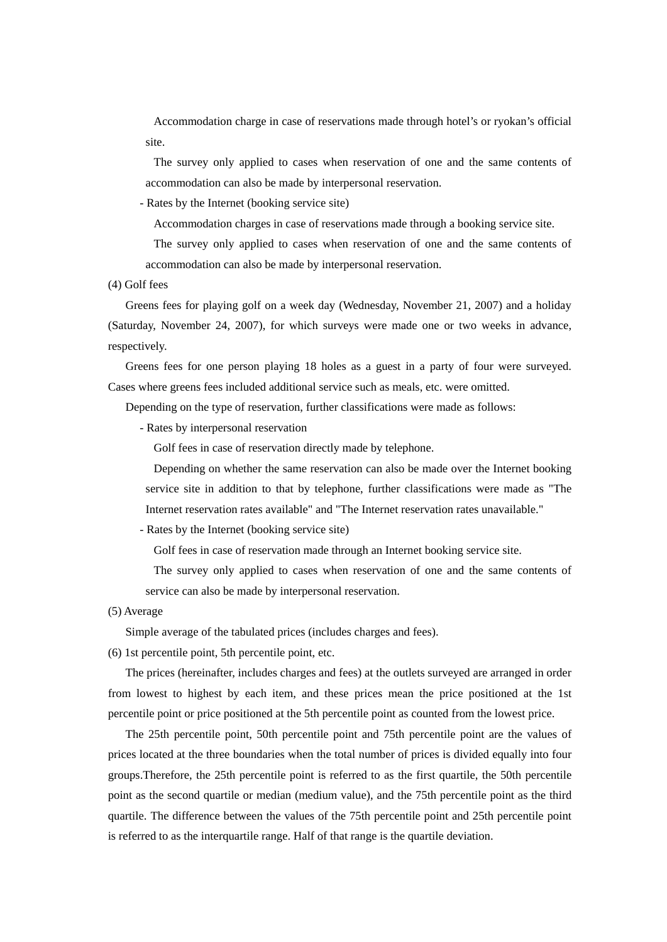Accommodation charge in case of reservations made through hotel's or ryokan's official site.

The survey only applied to cases when reservation of one and the same contents of accommodation can also be made by interpersonal reservation.

- Rates by the Internet (booking service site)

Accommodation charges in case of reservations made through a booking service site.

The survey only applied to cases when reservation of one and the same contents of accommodation can also be made by interpersonal reservation.

(4) Golf fees

Greens fees for playing golf on a week day (Wednesday, November 21, 2007) and a holiday (Saturday, November 24, 2007), for which surveys were made one or two weeks in advance, respectively.

Greens fees for one person playing 18 holes as a guest in a party of four were surveyed. Cases where greens fees included additional service such as meals, etc. were omitted.

Depending on the type of reservation, further classifications were made as follows:

- Rates by interpersonal reservation

Golf fees in case of reservation directly made by telephone.

Depending on whether the same reservation can also be made over the Internet booking service site in addition to that by telephone, further classifications were made as "The Internet reservation rates available" and "The Internet reservation rates unavailable."

- Rates by the Internet (booking service site)

Golf fees in case of reservation made through an Internet booking service site.

The survey only applied to cases when reservation of one and the same contents of service can also be made by interpersonal reservation.

(5) Average

Simple average of the tabulated prices (includes charges and fees).

(6) 1st percentile point, 5th percentile point, etc.

The prices (hereinafter, includes charges and fees) at the outlets surveyed are arranged in order from lowest to highest by each item, and these prices mean the price positioned at the 1st percentile point or price positioned at the 5th percentile point as counted from the lowest price.

The 25th percentile point, 50th percentile point and 75th percentile point are the values of prices located at the three boundaries when the total number of prices is divided equally into four groups.Therefore, the 25th percentile point is referred to as the first quartile, the 50th percentile point as the second quartile or median (medium value), and the 75th percentile point as the third quartile. The difference between the values of the 75th percentile point and 25th percentile point is referred to as the interquartile range. Half of that range is the quartile deviation.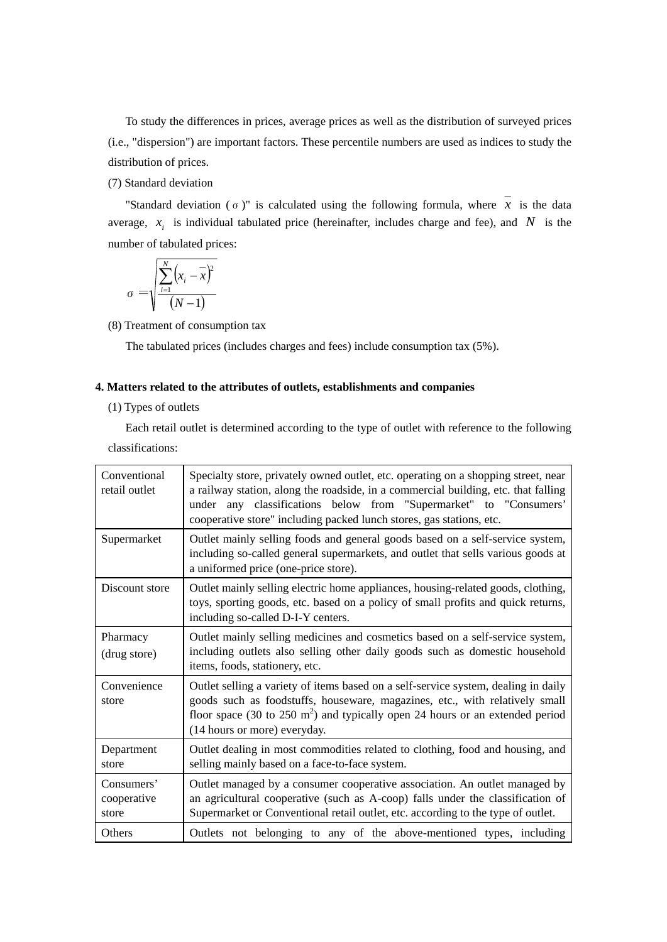To study the differences in prices, average prices as well as the distribution of surveyed prices (i.e., "dispersion") are important factors. These percentile numbers are used as indices to study the distribution of prices.

(7) Standard deviation

"Standard deviation ( $\sigma$ )" is calculated using the following formula, where  $\overline{x}$  is the data average,  $x_i$  is individual tabulated price (hereinafter, includes charge and fee), and N is the number of tabulated prices:

$$
\sigma = \sqrt{\frac{\sum_{i=1}^{N} (x_i - \overline{x})^2}{(N-1)}}
$$

(8) Treatment of consumption tax

The tabulated prices (includes charges and fees) include consumption tax (5%).

# **4. Matters related to the attributes of outlets, establishments and companies**

### (1) Types of outlets

Each retail outlet is determined according to the type of outlet with reference to the following classifications:

| Conventional<br>retail outlet      | Specialty store, privately owned outlet, etc. operating on a shopping street, near<br>a railway station, along the roadside, in a commercial building, etc. that falling<br>under any classifications below from "Supermarket" to "Consumers'<br>cooperative store" including packed lunch stores, gas stations, etc. |  |
|------------------------------------|-----------------------------------------------------------------------------------------------------------------------------------------------------------------------------------------------------------------------------------------------------------------------------------------------------------------------|--|
| Supermarket                        | Outlet mainly selling foods and general goods based on a self-service system,<br>including so-called general supermarkets, and outlet that sells various goods at<br>a uniformed price (one-price store).                                                                                                             |  |
| Discount store                     | Outlet mainly selling electric home appliances, housing-related goods, clothing,<br>toys, sporting goods, etc. based on a policy of small profits and quick returns,<br>including so-called D-I-Y centers.                                                                                                            |  |
| Pharmacy<br>(drug store)           | Outlet mainly selling medicines and cosmetics based on a self-service system,<br>including outlets also selling other daily goods such as domestic household<br>items, foods, stationery, etc.                                                                                                                        |  |
| Convenience<br>store               | Outlet selling a variety of items based on a self-service system, dealing in daily<br>goods such as foodstuffs, houseware, magazines, etc., with relatively small<br>floor space (30 to 250 $m2$ ) and typically open 24 hours or an extended period<br>(14 hours or more) everyday.                                  |  |
| Department<br>store                | Outlet dealing in most commodities related to clothing, food and housing, and<br>selling mainly based on a face-to-face system.                                                                                                                                                                                       |  |
| Consumers'<br>cooperative<br>store | Outlet managed by a consumer cooperative association. An outlet managed by<br>an agricultural cooperative (such as A-coop) falls under the classification of<br>Supermarket or Conventional retail outlet, etc. according to the type of outlet.                                                                      |  |
| Others                             | Outlets not belonging to any of the above-mentioned types, including                                                                                                                                                                                                                                                  |  |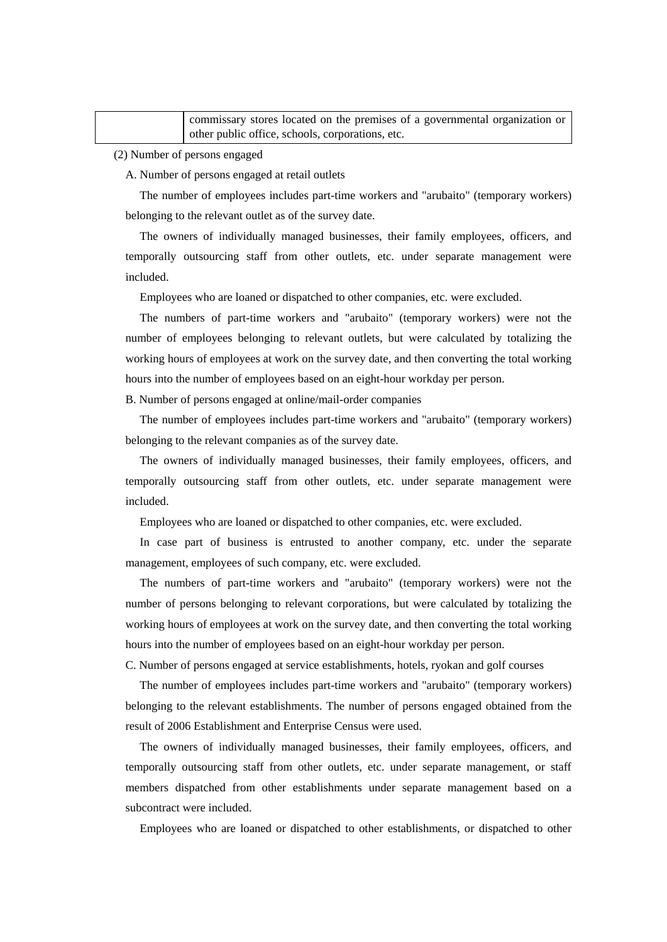| commissary stores located on the premises of a governmental organization or |
|-----------------------------------------------------------------------------|
| I other public office, schools, corporations, etc.                          |

(2) Number of persons engaged

A. Number of persons engaged at retail outlets

The number of employees includes part-time workers and "arubaito" (temporary workers) belonging to the relevant outlet as of the survey date.

The owners of individually managed businesses, their family employees, officers, and temporally outsourcing staff from other outlets, etc. under separate management were included.

Employees who are loaned or dispatched to other companies, etc. were excluded.

The numbers of part-time workers and "arubaito" (temporary workers) were not the number of employees belonging to relevant outlets, but were calculated by totalizing the working hours of employees at work on the survey date, and then converting the total working hours into the number of employees based on an eight-hour workday per person.

B. Number of persons engaged at online/mail-order companies

The number of employees includes part-time workers and "arubaito" (temporary workers) belonging to the relevant companies as of the survey date.

The owners of individually managed businesses, their family employees, officers, and temporally outsourcing staff from other outlets, etc. under separate management were included.

Employees who are loaned or dispatched to other companies, etc. were excluded.

In case part of business is entrusted to another company, etc. under the separate management, employees of such company, etc. were excluded.

The numbers of part-time workers and "arubaito" (temporary workers) were not the number of persons belonging to relevant corporations, but were calculated by totalizing the working hours of employees at work on the survey date, and then converting the total working hours into the number of employees based on an eight-hour workday per person.

C. Number of persons engaged at service establishments, hotels, ryokan and golf courses

The number of employees includes part-time workers and "arubaito" (temporary workers) belonging to the relevant establishments. The number of persons engaged obtained from the result of 2006 Establishment and Enterprise Census were used.

The owners of individually managed businesses, their family employees, officers, and temporally outsourcing staff from other outlets, etc. under separate management, or staff members dispatched from other establishments under separate management based on a subcontract were included.

Employees who are loaned or dispatched to other establishments, or dispatched to other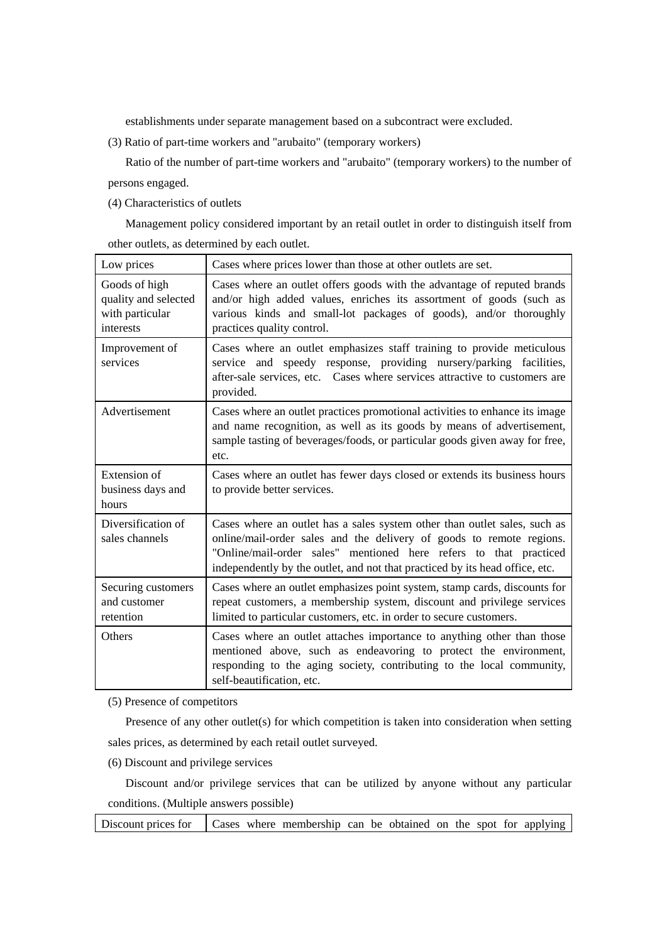establishments under separate management based on a subcontract were excluded.

(3) Ratio of part-time workers and "arubaito" (temporary workers)

Ratio of the number of part-time workers and "arubaito" (temporary workers) to the number of persons engaged.

(4) Characteristics of outlets

Management policy considered important by an retail outlet in order to distinguish itself from other outlets, as determined by each outlet.

| Low prices                                                            | Cases where prices lower than those at other outlets are set.                                                                                                                                                                                                                                          |  |
|-----------------------------------------------------------------------|--------------------------------------------------------------------------------------------------------------------------------------------------------------------------------------------------------------------------------------------------------------------------------------------------------|--|
| Goods of high<br>quality and selected<br>with particular<br>interests | Cases where an outlet offers goods with the advantage of reputed brands<br>and/or high added values, enriches its assortment of goods (such as<br>various kinds and small-lot packages of goods), and/or thoroughly<br>practices quality control.                                                      |  |
| Improvement of<br>services                                            | Cases where an outlet emphasizes staff training to provide meticulous<br>service and speedy response, providing nursery/parking facilities,<br>after-sale services, etc. Cases where services attractive to customers are<br>provided.                                                                 |  |
| Advertisement                                                         | Cases where an outlet practices promotional activities to enhance its image<br>and name recognition, as well as its goods by means of advertisement,<br>sample tasting of beverages/foods, or particular goods given away for free,<br>etc.                                                            |  |
| Extension of<br>business days and<br>hours                            | Cases where an outlet has fewer days closed or extends its business hours<br>to provide better services.                                                                                                                                                                                               |  |
| Diversification of<br>sales channels                                  | Cases where an outlet has a sales system other than outlet sales, such as<br>online/mail-order sales and the delivery of goods to remote regions.<br>"Online/mail-order sales" mentioned here refers to that practiced<br>independently by the outlet, and not that practiced by its head office, etc. |  |
| Securing customers<br>and customer<br>retention                       | Cases where an outlet emphasizes point system, stamp cards, discounts for<br>repeat customers, a membership system, discount and privilege services<br>limited to particular customers, etc. in order to secure customers.                                                                             |  |
| <b>Others</b>                                                         | Cases where an outlet attaches importance to anything other than those<br>mentioned above, such as endeavoring to protect the environment,<br>responding to the aging society, contributing to the local community,<br>self-beautification, etc.                                                       |  |

(5) Presence of competitors

Presence of any other outlet(s) for which competition is taken into consideration when setting sales prices, as determined by each retail outlet surveyed.

(6) Discount and privilege services

Discount and/or privilege services that can be utilized by anyone without any particular conditions. (Multiple answers possible)

Discount prices for  $\vert$  Cases where membership can be obtained on the spot for applying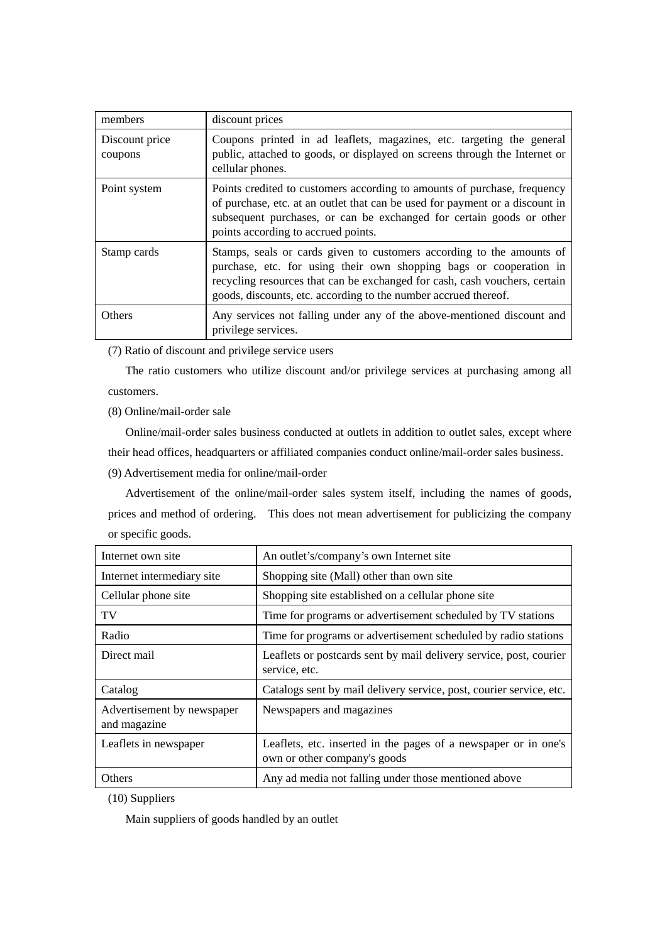| members                   | discount prices                                                                                                                                                                                                                                                                              |
|---------------------------|----------------------------------------------------------------------------------------------------------------------------------------------------------------------------------------------------------------------------------------------------------------------------------------------|
| Discount price<br>coupons | Coupons printed in ad leaflets, magazines, etc. targeting the general<br>public, attached to goods, or displayed on screens through the Internet or<br>cellular phones.                                                                                                                      |
| Point system              | Points credited to customers according to amounts of purchase, frequency<br>of purchase, etc. at an outlet that can be used for payment or a discount in<br>subsequent purchases, or can be exchanged for certain goods or other<br>points according to accrued points.                      |
| Stamp cards               | Stamps, seals or cards given to customers according to the amounts of<br>purchase, etc. for using their own shopping bags or cooperation in<br>recycling resources that can be exchanged for cash, cash vouchers, certain<br>goods, discounts, etc. according to the number accrued thereof. |
| <b>Others</b>             | Any services not falling under any of the above-mentioned discount and<br>privilege services.                                                                                                                                                                                                |

(7) Ratio of discount and privilege service users

The ratio customers who utilize discount and/or privilege services at purchasing among all customers.

(8) Online/mail-order sale

Online/mail-order sales business conducted at outlets in addition to outlet sales, except where their head offices, headquarters or affiliated companies conduct online/mail-order sales business.

(9) Advertisement media for online/mail-order

Advertisement of the online/mail-order sales system itself, including the names of goods, prices and method of ordering. This does not mean advertisement for publicizing the company or specific goods.

| Internet own site                          | An outlet's/company's own Internet site                                                         |  |
|--------------------------------------------|-------------------------------------------------------------------------------------------------|--|
| Internet intermediary site                 | Shopping site (Mall) other than own site                                                        |  |
| Cellular phone site                        | Shopping site established on a cellular phone site                                              |  |
| TV                                         | Time for programs or advertisement scheduled by TV stations                                     |  |
| Radio                                      | Time for programs or advertisement scheduled by radio stations                                  |  |
| Direct mail                                | Leaflets or postcards sent by mail delivery service, post, courier<br>service, etc.             |  |
| Catalog                                    | Catalogs sent by mail delivery service, post, courier service, etc.                             |  |
| Advertisement by newspaper<br>and magazine | Newspapers and magazines                                                                        |  |
| Leaflets in newspaper                      | Leaflets, etc. inserted in the pages of a newspaper or in one's<br>own or other company's goods |  |
| Others                                     | Any ad media not falling under those mentioned above                                            |  |

(10) Suppliers

Main suppliers of goods handled by an outlet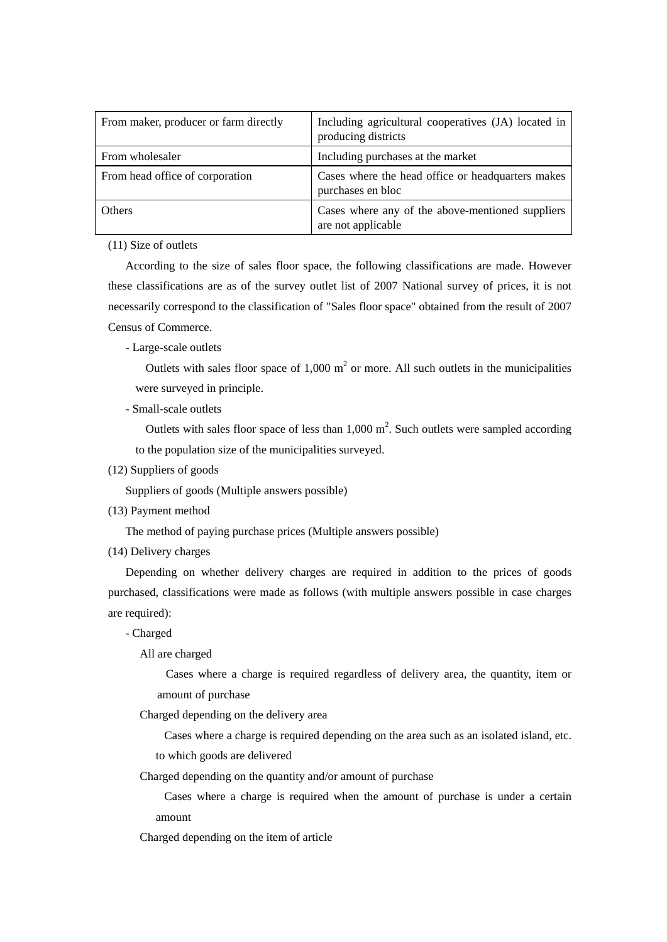| From maker, producer or farm directly | Including agricultural cooperatives (JA) located in<br>producing districts |
|---------------------------------------|----------------------------------------------------------------------------|
| From wholesaler                       | Including purchases at the market                                          |
| From head office of corporation       | Cases where the head office or headquarters makes<br>purchases en bloc     |
| <b>Others</b>                         | Cases where any of the above-mentioned suppliers<br>are not applicable     |

(11) Size of outlets

According to the size of sales floor space, the following classifications are made. However these classifications are as of the survey outlet list of 2007 National survey of prices, it is not necessarily correspond to the classification of "Sales floor space" obtained from the result of 2007 Census of Commerce.

- Large-scale outlets

Outlets with sales floor space of  $1,000 \text{ m}^2$  or more. All such outlets in the municipalities were surveyed in principle.

- Small-scale outlets

Outlets with sales floor space of less than  $1,000 \text{ m}^2$ . Such outlets were sampled according to the population size of the municipalities surveyed.

(12) Suppliers of goods

Suppliers of goods (Multiple answers possible)

(13) Payment method

The method of paying purchase prices (Multiple answers possible)

(14) Delivery charges

Depending on whether delivery charges are required in addition to the prices of goods purchased, classifications were made as follows (with multiple answers possible in case charges are required):

- Charged

All are charged

Cases where a charge is required regardless of delivery area, the quantity, item or amount of purchase

Charged depending on the delivery area

Cases where a charge is required depending on the area such as an isolated island, etc.

to which goods are delivered

Charged depending on the quantity and/or amount of purchase

Cases where a charge is required when the amount of purchase is under a certain amount

Charged depending on the item of article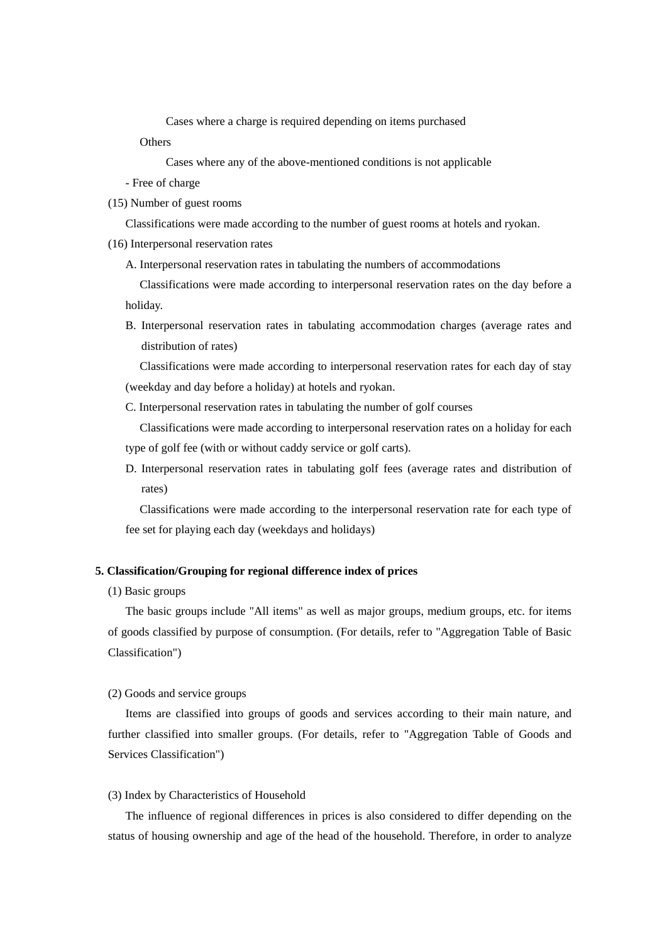Cases where a charge is required depending on items purchased

**Others** 

Cases where any of the above-mentioned conditions is not applicable

- Free of charge
- (15) Number of guest rooms

Classifications were made according to the number of guest rooms at hotels and ryokan.

- (16) Interpersonal reservation rates
	- A. Interpersonal reservation rates in tabulating the numbers of accommodations

Classifications were made according to interpersonal reservation rates on the day before a holiday.

B. Interpersonal reservation rates in tabulating accommodation charges (average rates and distribution of rates)

Classifications were made according to interpersonal reservation rates for each day of stay (weekday and day before a holiday) at hotels and ryokan.

C. Interpersonal reservation rates in tabulating the number of golf courses

Classifications were made according to interpersonal reservation rates on a holiday for each type of golf fee (with or without caddy service or golf carts).

D. Interpersonal reservation rates in tabulating golf fees (average rates and distribution of rates)

Classifications were made according to the interpersonal reservation rate for each type of fee set for playing each day (weekdays and holidays)

## **5. Classification/Grouping for regional difference index of prices**

(1) Basic groups

The basic groups include "All items" as well as major groups, medium groups, etc. for items of goods classified by purpose of consumption. (For details, refer to "Aggregation Table of Basic Classification")

(2) Goods and service groups

Items are classified into groups of goods and services according to their main nature, and further classified into smaller groups. (For details, refer to "Aggregation Table of Goods and Services Classification")

## (3) Index by Characteristics of Household

The influence of regional differences in prices is also considered to differ depending on the status of housing ownership and age of the head of the household. Therefore, in order to analyze